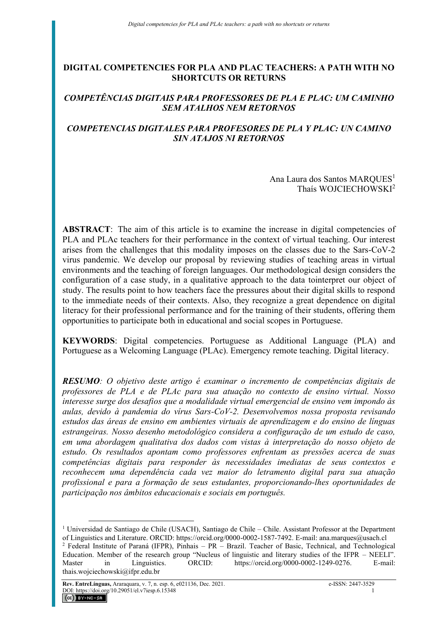### **DIGITAL COMPETENCIES FOR PLA AND PLAC TEACHERS: A PATH WITH NO SHORTCUTS OR RETURNS**

# *COMPETÊNCIAS DIGITAIS PARA PROFESSORES DE PLA E PLAC: UM CAMINHO SEM ATALHOS NEM RETORNOS*

# *COMPETENCIAS DIGITALES PARA PROFESORES DE PLA Y PLAC: UN CAMINO SIN ATAJOS NI RETORNOS*

Ana Laura dos Santos MAROUES<sup>1</sup> Thaís WOJCIECHOWSKI<sup>2</sup>

**ABSTRACT**: The aim of this article is to examine the increase in digital competencies of PLA and PLAc teachers for their performance in the context of virtual teaching. Our interest arises from the challenges that this modality imposes on the classes due to the Sars-CoV-2 virus pandemic. We develop our proposal by reviewing studies of teaching areas in virtual environments and the teaching of foreign languages. Our methodological design considers the configuration of a case study, in a qualitative approach to the data tointerpret our object of study. The results point to how teachers face the pressures about their digital skills to respond to the immediate needs of their contexts. Also, they recognize a great dependence on digital literacy for their professional performance and for the training of their students, offering them opportunities to participate both in educational and social scopes in Portuguese.

**KEYWORDS**: Digital competencies. Portuguese as Additional Language (PLA) and Portuguese as a Welcoming Language (PLAc). Emergency remote teaching. Digital literacy.

*RESUMO: O objetivo deste artigo é examinar o incremento de competências digitais de professores de PLA e de PLAc para sua atuação no contexto de ensino virtual. Nosso interesse surge dos desafios que a modalidade virtual emergencial de ensino vem impondo às aulas, devido à pandemia do vírus Sars-CoV-2. Desenvolvemos nossa proposta revisando estudos das áreas de ensino em ambientes virtuais de aprendizagem e do ensino de línguas estrangeiras. Nosso desenho metodológico considera a configuração de um estudo de caso, em uma abordagem qualitativa dos dados com vistas à interpretação do nosso objeto de estudo. Os resultados apontam como professores enfrentam as pressões acerca de suas competências digitais para responder às necessidades imediatas de seus contextos e reconhecem uma dependência cada vez maior do letramento digital para sua atuação profissional e para a formação de seus estudantes, proporcionando-lhes oportunidades de participação nos âmbitos educacionais e sociais em português.* 

<sup>&</sup>lt;sup>1</sup> Universidad de Santiago de Chile (USACH), Santiago de Chile – Chile. Assistant Professor at the Department of Linguistics and Literature. ORCID: https://orcid.org/0000-0002-1587-7492. E-mail: ana.marques@usach.cl

<sup>2</sup> Federal Institute of Paraná (IFPR), Pinhais – PR – Brazil. Teacher of Basic, Technical, and Technological Education. Member of the research group "Nucleus of linguistic and literary studies of the IFPR – NEELI". Master in Linguistics. ORCID: https://orcid.org/0000-0002-1249-0276. E-mail: thais.wojciechowski@ifpr.edu.br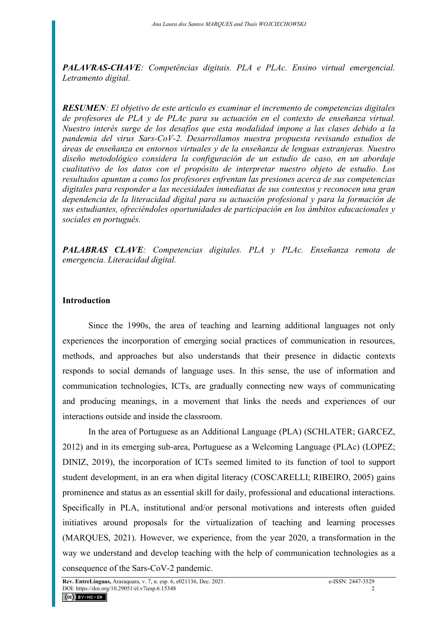*PALAVRAS-CHAVE: Competências digitais. PLA e PLAc. Ensino virtual emergencial. Letramento digital.* 

*RESUMEN: El objetivo de este artículo es examinar el incremento de competencias digitales de profesores de PLA y de PLAc para su actuación en el contexto de enseñanza virtual. Nuestro interés surge de los desafíos que esta modalidad impone a las clases debido a la pandemia del virus Sars-CoV-2. Desarrollamos nuestra propuesta revisando estudios de áreas de enseñanza en entornos virtuales y de la enseñanza de lenguas extranjeras. Nuestro diseño metodológico considera la configuración de un estudio de caso, en un abordaje cualitativo de los datos con el propósito de interpretar nuestro objeto de estudio. Los resultados apuntan a como los profesores enfrentan las presiones acerca de sus competencias digitales para responder a las necesidades inmediatas de sus contextos y reconocen una gran dependencia de la literacidad digital para su actuación profesional y para la formación de sus estudiantes, ofreciéndoles oportunidades de participación en los ámbitos educacionales y sociales en portugués.* 

*PALABRAS CLAVE: Competencias digitales. PLA y PLAc. Enseñanza remota de emergencia. Literacidad digital.* 

### **Introduction**

Since the 1990s, the area of teaching and learning additional languages not only experiences the incorporation of emerging social practices of communication in resources, methods, and approaches but also understands that their presence in didactic contexts responds to social demands of language uses. In this sense, the use of information and communication technologies, ICTs, are gradually connecting new ways of communicating and producing meanings, in a movement that links the needs and experiences of our interactions outside and inside the classroom.

In the area of Portuguese as an Additional Language (PLA) (SCHLATER; GARCEZ, 2012) and in its emerging sub-area, Portuguese as a Welcoming Language (PLAc) (LOPEZ; DINIZ, 2019), the incorporation of ICTs seemed limited to its function of tool to support student development, in an era when digital literacy (COSCARELLI; RIBEIRO, 2005) gains prominence and status as an essential skill for daily, professional and educational interactions. Specifically in PLA, institutional and/or personal motivations and interests often guided initiatives around proposals for the virtualization of teaching and learning processes (MARQUES, 2021). However, we experience, from the year 2020, a transformation in the way we understand and develop teaching with the help of communication technologies as a consequence of the Sars-CoV-2 pandemic.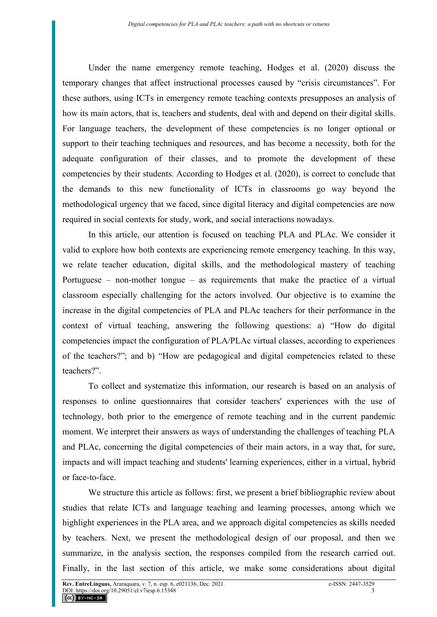Under the name emergency remote teaching, Hodges et al. (2020) discuss the temporary changes that affect instructional processes caused by "crisis circumstances". For these authors, using ICTs in emergency remote teaching contexts presupposes an analysis of how its main actors, that is, teachers and students, deal with and depend on their digital skills. For language teachers, the development of these competencies is no longer optional or support to their teaching techniques and resources, and has become a necessity, both for the adequate configuration of their classes, and to promote the development of these competencies by their students. According to Hodges et al. (2020), is correct to conclude that the demands to this new functionality of ICTs in classrooms go way beyond the methodological urgency that we faced, since digital literacy and digital competencies are now required in social contexts for study, work, and social interactions nowadays.

In this article, our attention is focused on teaching PLA and PLAc. We consider it valid to explore how both contexts are experiencing remote emergency teaching. In this way, we relate teacher education, digital skills, and the methodological mastery of teaching Portuguese – non-mother tongue – as requirements that make the practice of a virtual classroom especially challenging for the actors involved. Our objective is to examine the increase in the digital competencies of PLA and PLAc teachers for their performance in the context of virtual teaching, answering the following questions: a) "How do digital competencies impact the configuration of PLA/PLAc virtual classes, according to experiences of the teachers?"; and b) "How are pedagogical and digital competencies related to these teachers?".

To collect and systematize this information, our research is based on an analysis of responses to online questionnaires that consider teachers' experiences with the use of technology, both prior to the emergence of remote teaching and in the current pandemic moment. We interpret their answers as ways of understanding the challenges of teaching PLA and PLAc, concerning the digital competencies of their main actors, in a way that, for sure, impacts and will impact teaching and students' learning experiences, either in a virtual, hybrid or face-to-face.

We structure this article as follows: first, we present a brief bibliographic review about studies that relate ICTs and language teaching and learning processes, among which we highlight experiences in the PLA area, and we approach digital competencies as skills needed by teachers. Next, we present the methodological design of our proposal, and then we summarize, in the analysis section, the responses compiled from the research carried out. Finally, in the last section of this article, we make some considerations about digital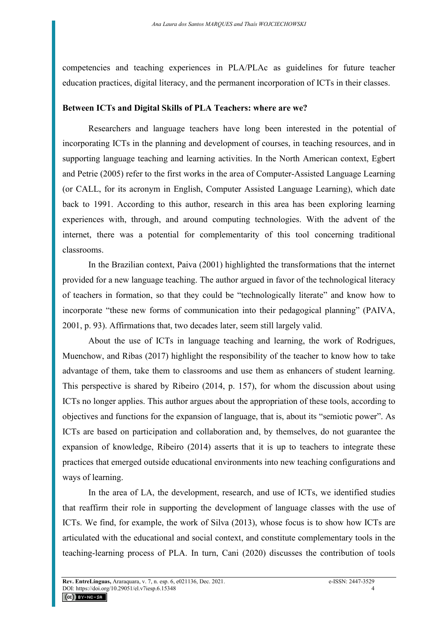competencies and teaching experiences in PLA/PLAc as guidelines for future teacher education practices, digital literacy, and the permanent incorporation of ICTs in their classes.

## **Between ICTs and Digital Skills of PLA Teachers: where are we?**

Researchers and language teachers have long been interested in the potential of incorporating ICTs in the planning and development of courses, in teaching resources, and in supporting language teaching and learning activities. In the North American context, Egbert and Petrie (2005) refer to the first works in the area of Computer-Assisted Language Learning (or CALL, for its acronym in English, Computer Assisted Language Learning), which date back to 1991. According to this author, research in this area has been exploring learning experiences with, through, and around computing technologies. With the advent of the internet, there was a potential for complementarity of this tool concerning traditional classrooms.

In the Brazilian context, Paiva (2001) highlighted the transformations that the internet provided for a new language teaching. The author argued in favor of the technological literacy of teachers in formation, so that they could be "technologically literate" and know how to incorporate "these new forms of communication into their pedagogical planning" (PAIVA, 2001, p. 93). Affirmations that, two decades later, seem still largely valid.

About the use of ICTs in language teaching and learning, the work of Rodrigues, Muenchow, and Ribas (2017) highlight the responsibility of the teacher to know how to take advantage of them, take them to classrooms and use them as enhancers of student learning. This perspective is shared by Ribeiro (2014, p. 157), for whom the discussion about using ICTs no longer applies. This author argues about the appropriation of these tools, according to objectives and functions for the expansion of language, that is, about its "semiotic power". As ICTs are based on participation and collaboration and, by themselves, do not guarantee the expansion of knowledge, Ribeiro (2014) asserts that it is up to teachers to integrate these practices that emerged outside educational environments into new teaching configurations and ways of learning.

In the area of LA, the development, research, and use of ICTs, we identified studies that reaffirm their role in supporting the development of language classes with the use of ICTs. We find, for example, the work of Silva (2013), whose focus is to show how ICTs are articulated with the educational and social context, and constitute complementary tools in the teaching-learning process of PLA. In turn, Cani (2020) discusses the contribution of tools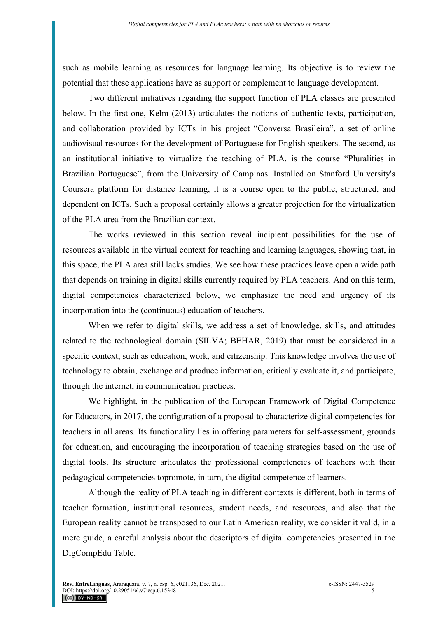such as mobile learning as resources for language learning. Its objective is to review the potential that these applications have as support or complement to language development.

Two different initiatives regarding the support function of PLA classes are presented below. In the first one, Kelm (2013) articulates the notions of authentic texts, participation, and collaboration provided by ICTs in his project "Conversa Brasileira", a set of online audiovisual resources for the development of Portuguese for English speakers. The second, as an institutional initiative to virtualize the teaching of PLA, is the course "Pluralities in Brazilian Portuguese", from the University of Campinas. Installed on Stanford University's Coursera platform for distance learning, it is a course open to the public, structured, and dependent on ICTs. Such a proposal certainly allows a greater projection for the virtualization of the PLA area from the Brazilian context.

The works reviewed in this section reveal incipient possibilities for the use of resources available in the virtual context for teaching and learning languages, showing that, in this space, the PLA area still lacks studies. We see how these practices leave open a wide path that depends on training in digital skills currently required by PLA teachers. And on this term, digital competencies characterized below, we emphasize the need and urgency of its incorporation into the (continuous) education of teachers.

When we refer to digital skills, we address a set of knowledge, skills, and attitudes related to the technological domain (SILVA; BEHAR, 2019) that must be considered in a specific context, such as education, work, and citizenship. This knowledge involves the use of technology to obtain, exchange and produce information, critically evaluate it, and participate, through the internet, in communication practices.

We highlight, in the publication of the European Framework of Digital Competence for Educators, in 2017, the configuration of a proposal to characterize digital competencies for teachers in all areas. Its functionality lies in offering parameters for self-assessment, grounds for education, and encouraging the incorporation of teaching strategies based on the use of digital tools. Its structure articulates the professional competencies of teachers with their pedagogical competencies topromote, in turn, the digital competence of learners.

Although the reality of PLA teaching in different contexts is different, both in terms of teacher formation, institutional resources, student needs, and resources, and also that the European reality cannot be transposed to our Latin American reality, we consider it valid, in a mere guide, a careful analysis about the descriptors of digital competencies presented in the DigCompEdu Table.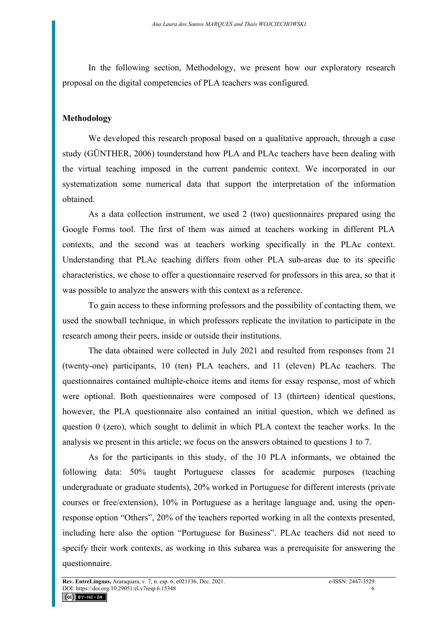In the following section, Methodology, we present how our exploratory research proposal on the digital competencies of PLA teachers was configured.

# **Methodology**

We developed this research proposal based on a qualitative approach, through a case study (GÜNTHER, 2006) tounderstand how PLA and PLAc teachers have been dealing with the virtual teaching imposed in the current pandemic context. We incorporated in our systematization some numerical data that support the interpretation of the information obtained.

As a data collection instrument, we used 2 (two) questionnaires prepared using the Google Forms tool. The first of them was aimed at teachers working in different PLA contexts, and the second was at teachers working specifically in the PLAc context. Understanding that PLAc teaching differs from other PLA sub-areas due to its specific characteristics, we chose to offer a questionnaire reserved for professors in this area, so that it was possible to analyze the answers with this context as a reference.

To gain access to these informing professors and the possibility of contacting them, we used the snowball technique, in which professors replicate the invitation to participate in the research among their peers, inside or outside their institutions.

The data obtained were collected in July 2021 and resulted from responses from 21 (twenty-one) participants, 10 (ten) PLA teachers, and 11 (eleven) PLAc teachers. The questionnaires contained multiple-choice items and items for essay response, most of which were optional. Both questionnaires were composed of 13 (thirteen) identical questions, however, the PLA questionnaire also contained an initial question, which we defined as question 0 (zero), which sought to delimit in which PLA context the teacher works. In the analysis we present in this article; we focus on the answers obtained to questions 1 to 7.

As for the participants in this study, of the 10 PLA informants, we obtained the following data: 50% taught Portuguese classes for academic purposes (teaching undergraduate or graduate students), 20% worked in Portuguese for different interests (private courses or free/extension), 10% in Portuguese as a heritage language and, using the openresponse option "Others", 20% of the teachers reported working in all the contexts presented, including here also the option "Portuguese for Business". PLAc teachers did not need to specify their work contexts, as working in this subarea was a prerequisite for answering the questionnaire.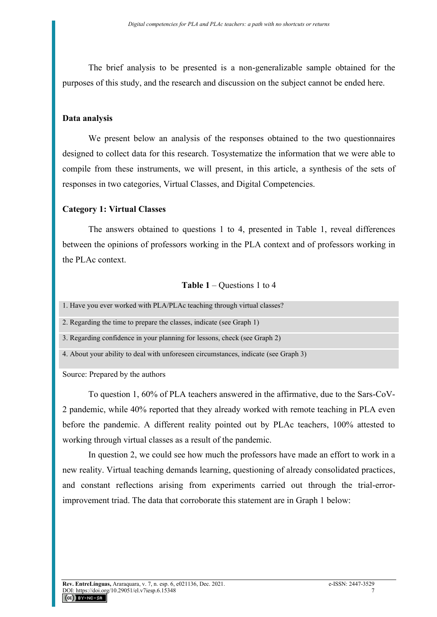The brief analysis to be presented is a non-generalizable sample obtained for the purposes of this study, and the research and discussion on the subject cannot be ended here.

#### **Data analysis**

We present below an analysis of the responses obtained to the two questionnaires designed to collect data for this research. Tosystematize the information that we were able to compile from these instruments, we will present, in this article, a synthesis of the sets of responses in two categories, Virtual Classes, and Digital Competencies.

### **Category 1: Virtual Classes**

The answers obtained to questions 1 to 4, presented in Table 1, reveal differences between the opinions of professors working in the PLA context and of professors working in the PLAc context.

#### **Table 1** – Questions 1 to 4

| 1. Have you ever worked with PLA/PLAc teaching through virtual classes?             |
|-------------------------------------------------------------------------------------|
| 2. Regarding the time to prepare the classes, indicate (see Graph 1)                |
| 3. Regarding confidence in your planning for lessons, check (see Graph 2)           |
| 4. About your ability to deal with unforeseen circumstances, indicate (see Graph 3) |

Source: Prepared by the authors

To question 1, 60% of PLA teachers answered in the affirmative, due to the Sars-CoV-2 pandemic, while 40% reported that they already worked with remote teaching in PLA even before the pandemic. A different reality pointed out by PLAc teachers, 100% attested to working through virtual classes as a result of the pandemic.

In question 2, we could see how much the professors have made an effort to work in a new reality. Virtual teaching demands learning, questioning of already consolidated practices, and constant reflections arising from experiments carried out through the trial-errorimprovement triad. The data that corroborate this statement are in Graph 1 below: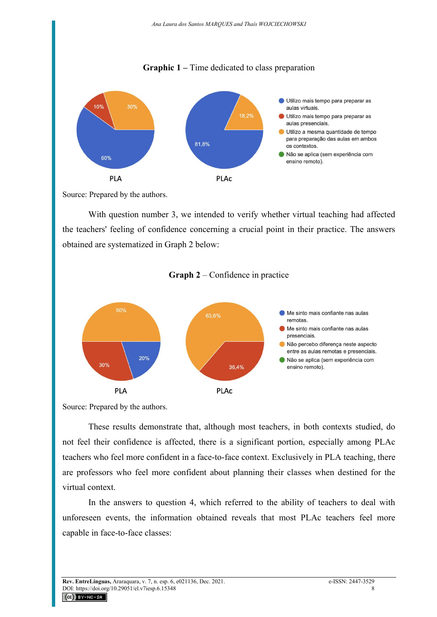# **Graphic 1 –** Time dedicated to class preparation



Source: Prepared by the authors.

With question number 3, we intended to verify whether virtual teaching had affected the teachers' feeling of confidence concerning a crucial point in their practice. The answers obtained are systematized in Graph 2 below:



**Graph 2** – Confidence in practice

These results demonstrate that, although most teachers, in both contexts studied, do not feel their confidence is affected, there is a significant portion, especially among PLAc teachers who feel more confident in a face-to-face context. Exclusively in PLA teaching, there are professors who feel more confident about planning their classes when destined for the virtual context.

In the answers to question 4, which referred to the ability of teachers to deal with unforeseen events, the information obtained reveals that most PLAc teachers feel more capable in face-to-face classes:

Source: Prepared by the authors.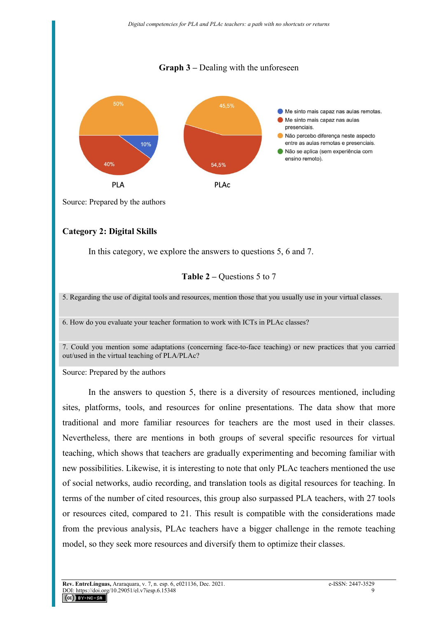# **Graph 3 –** Dealing with the unforeseen



Source: Prepared by the authors

# **Category 2: Digital Skills**

In this category, we explore the answers to questions 5, 6 and 7.

#### **Table 2 –** Questions 5 to 7

5. Regarding the use of digital tools and resources, mention those that you usually use in your virtual classes.

6. How do you evaluate your teacher formation to work with ICTs in PLAc classes?

7. Could you mention some adaptations (concerning face-to-face teaching) or new practices that you carried out/used in the virtual teaching of PLA/PLAc?

Source: Prepared by the authors

In the answers to question 5, there is a diversity of resources mentioned, including sites, platforms, tools, and resources for online presentations. The data show that more traditional and more familiar resources for teachers are the most used in their classes. Nevertheless, there are mentions in both groups of several specific resources for virtual teaching, which shows that teachers are gradually experimenting and becoming familiar with new possibilities. Likewise, it is interesting to note that only PLAc teachers mentioned the use of social networks, audio recording, and translation tools as digital resources for teaching. In terms of the number of cited resources, this group also surpassed PLA teachers, with 27 tools or resources cited, compared to 21. This result is compatible with the considerations made from the previous analysis, PLAc teachers have a bigger challenge in the remote teaching model, so they seek more resources and diversify them to optimize their classes.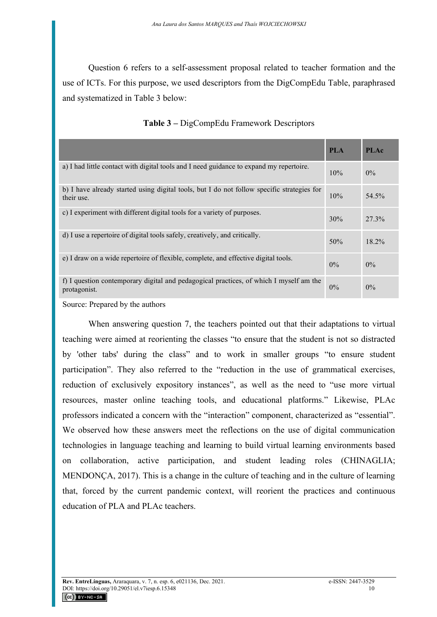Question 6 refers to a self-assessment proposal related to teacher formation and the use of ICTs. For this purpose, we used descriptors from the DigCompEdu Table, paraphrased and systematized in Table 3 below:

|                                                                                                          | <b>PLA</b> | <b>PLAc</b> |
|----------------------------------------------------------------------------------------------------------|------------|-------------|
| a) I had little contact with digital tools and I need guidance to expand my repertoire.                  | 10%        | $0\%$       |
| b) I have already started using digital tools, but I do not follow specific strategies for<br>their use. | 10%        | 54.5%       |
| c) I experiment with different digital tools for a variety of purposes.                                  | 30%        | 27.3%       |
| d) I use a repertoire of digital tools safely, creatively, and critically.                               | 50%        | 18.2%       |
| e) I draw on a wide repertoire of flexible, complete, and effective digital tools.                       | $0\%$      | $0\%$       |
| f) I question contemporary digital and pedagogical practices, of which I myself am the<br>protagonist.   | $0\%$      | $0\%$       |

Source: Prepared by the authors

When answering question 7, the teachers pointed out that their adaptations to virtual teaching were aimed at reorienting the classes "to ensure that the student is not so distracted by 'other tabs' during the class" and to work in smaller groups "to ensure student participation". They also referred to the "reduction in the use of grammatical exercises, reduction of exclusively expository instances", as well as the need to "use more virtual resources, master online teaching tools, and educational platforms." Likewise, PLAc professors indicated a concern with the "interaction" component, characterized as "essential". We observed how these answers meet the reflections on the use of digital communication technologies in language teaching and learning to build virtual learning environments based on collaboration, active participation, and student leading roles (CHINAGLIA; MENDONÇA, 2017). This is a change in the culture of teaching and in the culture of learning that, forced by the current pandemic context, will reorient the practices and continuous education of PLA and PLAc teachers.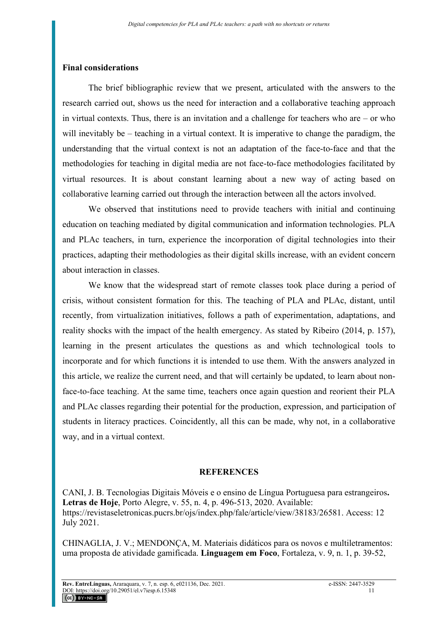### **Final considerations**

The brief bibliographic review that we present, articulated with the answers to the research carried out, shows us the need for interaction and a collaborative teaching approach in virtual contexts. Thus, there is an invitation and a challenge for teachers who are – or who will inevitably be – teaching in a virtual context. It is imperative to change the paradigm, the understanding that the virtual context is not an adaptation of the face-to-face and that the methodologies for teaching in digital media are not face-to-face methodologies facilitated by virtual resources. It is about constant learning about a new way of acting based on collaborative learning carried out through the interaction between all the actors involved.

We observed that institutions need to provide teachers with initial and continuing education on teaching mediated by digital communication and information technologies. PLA and PLAc teachers, in turn, experience the incorporation of digital technologies into their practices, adapting their methodologies as their digital skills increase, with an evident concern about interaction in classes.

We know that the widespread start of remote classes took place during a period of crisis, without consistent formation for this. The teaching of PLA and PLAc, distant, until recently, from virtualization initiatives, follows a path of experimentation, adaptations, and reality shocks with the impact of the health emergency. As stated by Ribeiro (2014, p. 157), learning in the present articulates the questions as and which technological tools to incorporate and for which functions it is intended to use them. With the answers analyzed in this article, we realize the current need, and that will certainly be updated, to learn about nonface-to-face teaching. At the same time, teachers once again question and reorient their PLA and PLAc classes regarding their potential for the production, expression, and participation of students in literacy practices. Coincidently, all this can be made, why not, in a collaborative way, and in a virtual context.

# **REFERENCES**

CANI, J. B. Tecnologias Digitais Móveis e o ensino de Língua Portuguesa para estrangeiros**. Letras de Hoje**, Porto Alegre, v. 55, n. 4, p. 496-513, 2020. Available: [https://revistaseletronicas.pucrs.br/ojs/index.php/fale/article/view/38183/26581.](https://revistaseletronicas.pucrs.br/ojs/index.php/fale/article/view/38183/26581) Access: 12 July 2021.

CHINAGLIA, J. V.; MENDONÇA, M. Materiais didáticos para os novos e multiletramentos: uma proposta de atividade gamificada. **Linguagem em Foco**, Fortaleza, v. 9, n. 1, p. 39-52,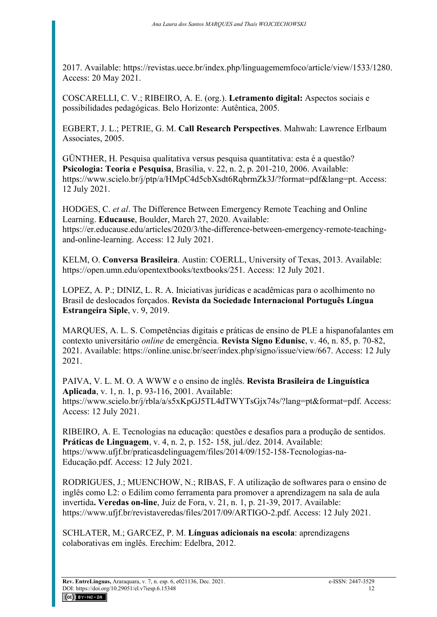2017. Available: [https://revistas.uece.br/index.php/linguagememfoco/article/view/1533/1280.](https://revistas.uece.br/index.php/linguagememfoco/article/view/1533/1280) Access: 20 May 2021.

COSCARELLI, C. V.; RIBEIRO, A. E. (org.). **Letramento digital:** Aspectos sociais e possibilidades pedagógicas. Belo Horizonte: Autêntica, 2005.

EGBERT, J. L.; PETRIE, G. M. **Call Research Perspectives**. Mahwah: Lawrence Erlbaum Associates, 2005.

GÜNTHER, H. Pesquisa qualitativa versus pesquisa quantitativa: esta é a questão? **Psicologia: Teoria e Pesquisa**, Brasília, v. 22, n. 2, p. 201-210, 2006. Available: [https://www.scielo.br/j/ptp/a/HMpC4d5cbXsdt6RqbrmZk3J/?format=pdf&lang=pt.](https://www.scielo.br/j/ptp/a/HMpC4d5cbXsdt6RqbrmZk3J/?format=pdf&lang=pt) Access: 12 July 2021.

HODGES, C. *et al*. The Difference Between Emergency Remote Teaching and Online Learning. **Educause**, Boulder, March 27, 2020. Available: [https://er.educause.edu/articles/2020/3/the-difference-between-emergency-remote-teaching](https://er.educause.edu/articles/2020/3/the-difference-between-emergency-remote-teaching-and-online-learning)[and-online-learning.](https://er.educause.edu/articles/2020/3/the-difference-between-emergency-remote-teaching-and-online-learning) Access: 12 July 2021.

KELM, O. **Conversa Brasileira**. Austin: COERLL, University of Texas, 2013. Available: [https://open.umn.edu/opentextbooks/textbooks/251.](https://open.umn.edu/opentextbooks/textbooks/251) Access: 12 July 2021.

LOPEZ, A. P.; DINIZ, L. R. A. Iniciativas jurídicas e acadêmicas para o acolhimento no Brasil de deslocados forçados. **Revista da Sociedade Internacional Português Língua Estrangeira Siple**, v. 9, 2019.

MARQUES, A. L. S. Competências digitais e práticas de ensino de PLE a hispanofalantes em contexto universitário *online* de emergência. **Revista Signo Edunisc**, v. 46, n. 85, p. 70-82, 2021. Available: [https://online.unisc.br/seer/index.php/signo/issue/view/667.](https://online.unisc.br/seer/index.php/signo/issue/view/667) Access: 12 July 2021.

PAIVA, V. L. M. O. A WWW e o ensino de inglês. **Revista Brasileira de Linguística Aplicada**, v. 1, n. 1, p. 93-116, 2001. Available: [https://www.scielo.br/j/rbla/a/s5xKpGJ5TL4dTWYTsGjx74s/?lang=pt&format=pdf.](https://www.scielo.br/j/rbla/a/s5xKpGJ5TL4dTWYTsGjx74s/?lang=pt&format=pdf) Access: Access: 12 July 2021.

RIBEIRO, A. E. Tecnologias na educação: questões e desafios para a produção de sentidos. **Práticas de Linguagem**, v. 4, n. 2, p. 152- 158, jul./dez. 2014. Available: [https://www.ufjf.br/praticasdelinguagem/files/2014/09/152-158-Tecnologias-na-](https://www.ufjf.br/praticasdelinguagem/files/2014/09/152-158-Tecnologias-na-Educação.pdf)[Educação.pdf.](https://www.ufjf.br/praticasdelinguagem/files/2014/09/152-158-Tecnologias-na-Educação.pdf) Access: 12 July 2021.

RODRIGUES, J.; MUENCHOW, N.; RIBAS, F. A utilização de softwares para o ensino de inglês como L2: o Edilim como ferramenta para promover a aprendizagem na sala de aula invertida**. Veredas on-line**, Juiz de Fora, v. 21, n. 1, p. 21-39, 2017. Available: [https://www.ufjf.br/revistaveredas/files/2017/09/ARTIGO-2.pdf.](https://www.ufjf.br/revistaveredas/files/2017/09/ARTIGO-2.pdf) Access: 12 July 2021.

SCHLATER, M.; GARCEZ, P. M. **Línguas adicionais na escola**: aprendizagens colaborativas em inglês. Erechim: Edelbra, 2012.